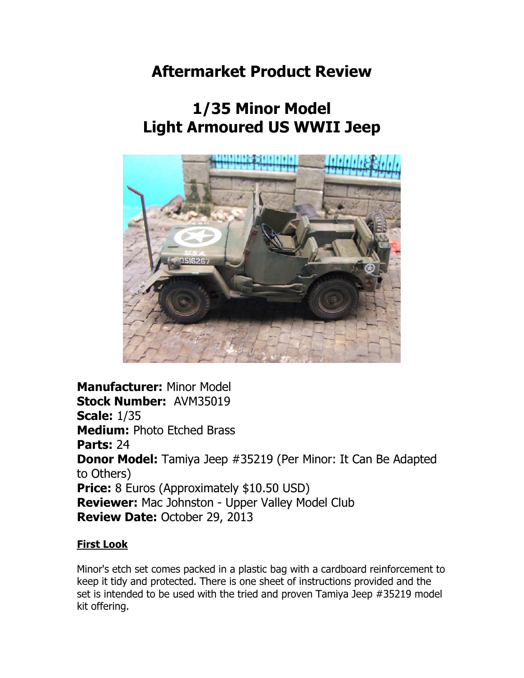# Aftermarket Product Review

# 1/35 Minor Model Light Armoured US WWII Jeep



Manufacturer: Minor Model Stock Number: AVM35019 **Scale: 1/35 Medium: Photo Etched Brass** Parts: 24 Donor Model: Tamiya Jeep #35219 (Per Minor: It Can Be Adapted to Others) **Price:** 8 Euros (Approximately \$10.50 USD) Reviewer: Mac Johnston - Upper Valley Model Club Review Date: October 29, 2013

#### First Look

Minor's etch set comes packed in a plastic bag with a cardboard reinforcement to keep it tidy and protected. There is one sheet of instructions provided and the set is intended to be used with the tried and proven Tamiya Jeep #35219 model kit offering.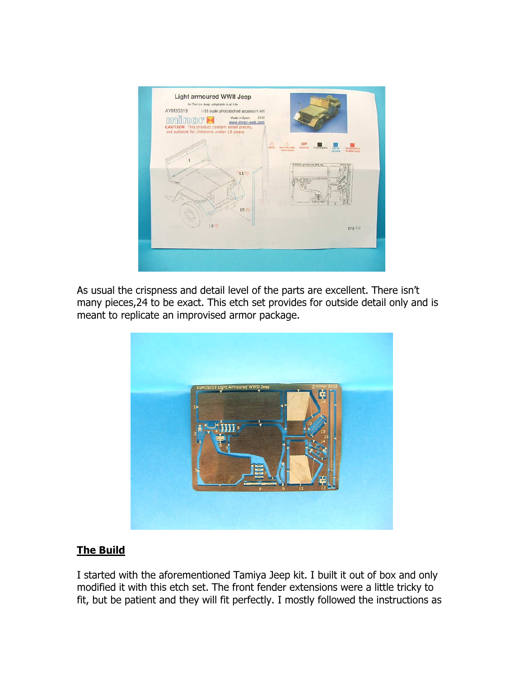

As usual the crispness and detail level of the parts are excellent. There isn't many pieces,24 to be exact. This etch set provides for outside detail only and is meant to replicate an improvised armor package.



## The Build

I started with the aforementioned Tamiya Jeep kit. I built it out of box and only modified it with this etch set. The front fender extensions were a little tricky to fit, but be patient and they will fit perfectly. I mostly followed the instructions as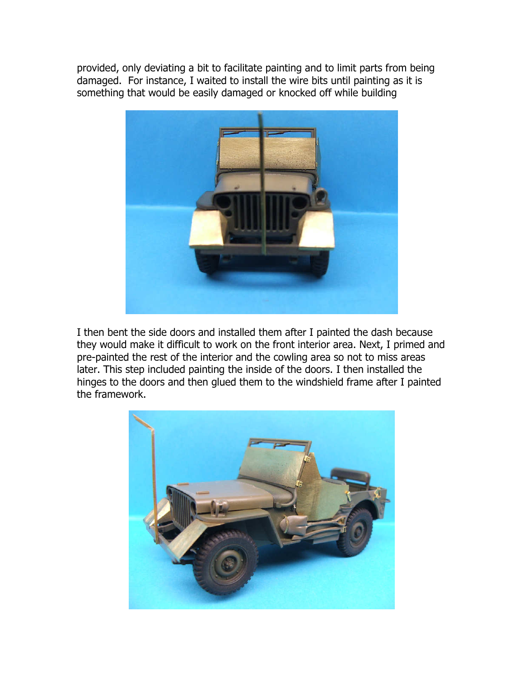provided, only deviating a bit to facilitate painting and to limit parts from being damaged. For instance, I waited to install the wire bits until painting as it is something that would be easily damaged or knocked off while building



I then bent the side doors and installed them after I painted the dash because they would make it difficult to work on the front interior area. Next, I primed and pre-painted the rest of the interior and the cowling area so not to miss areas later. This step included painting the inside of the doors. I then installed the hinges to the doors and then glued them to the windshield frame after I painted the framework.

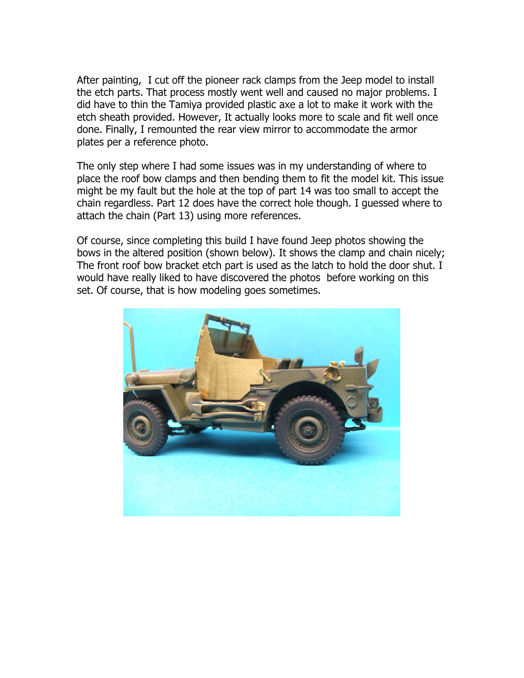After painting, I cut off the pioneer rack clamps from the Jeep model to install the etch parts. That process mostly went well and caused no major problems. I did have to thin the Tamiya provided plastic axe a lot to make it work with the etch sheath provided. However, It actually looks more to scale and fit well once done. Finally, I remounted the rear view mirror to accommodate the armor plates per a reference photo.

The only step where I had some issues was in my understanding of where to place the roof bow clamps and then bending them to fit the model kit. This issue might be my fault but the hole at the top of part 14 was too small to accept the chain regardless. Part 12 does have the correct hole though. I guessed where to attach the chain (Part 13) using more references.

Of course, since completing this build I have found Jeep photos showing the bows in the altered position (shown below). It shows the clamp and chain nicely; The front roof bow bracket etch part is used as the latch to hold the door shut. I would have really liked to have discovered the photos before working on this set. Of course, that is how modeling goes sometimes.

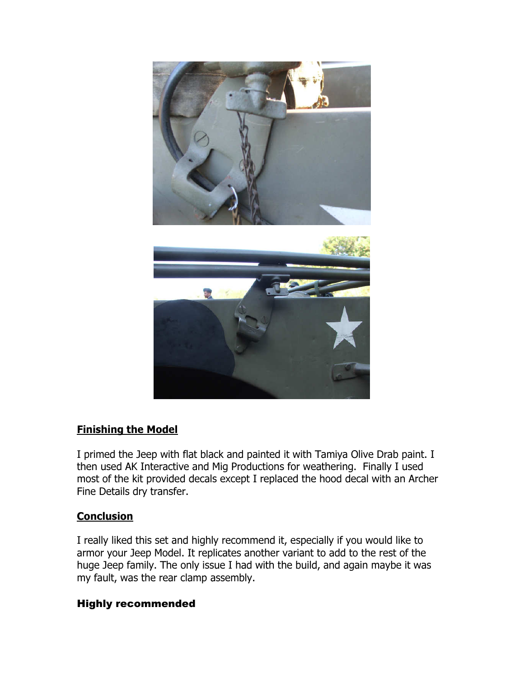

## Finishing the Model

I primed the Jeep with flat black and painted it with Tamiya Olive Drab paint. I then used AK Interactive and Mig Productions for weathering. Finally I used most of the kit provided decals except I replaced the hood decal with an Archer Fine Details dry transfer.

#### **Conclusion**

I really liked this set and highly recommend it, especially if you would like to armor your Jeep Model. It replicates another variant to add to the rest of the huge Jeep family. The only issue I had with the build, and again maybe it was my fault, was the rear clamp assembly.

## Highly recommended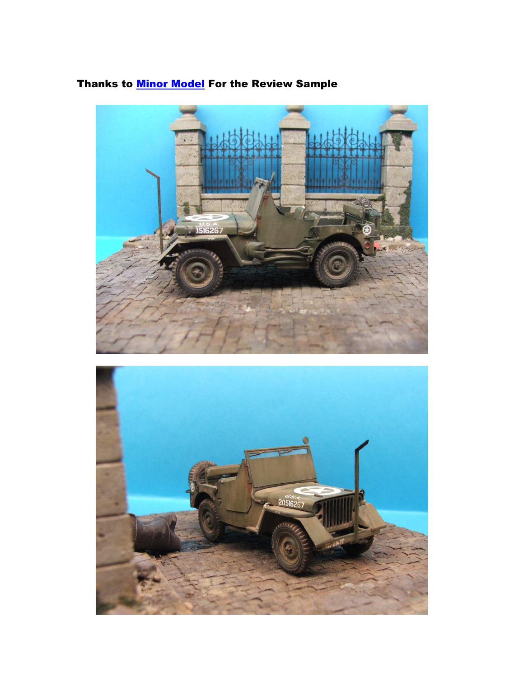

## **Thanks to Minor Model For the Review Sample**

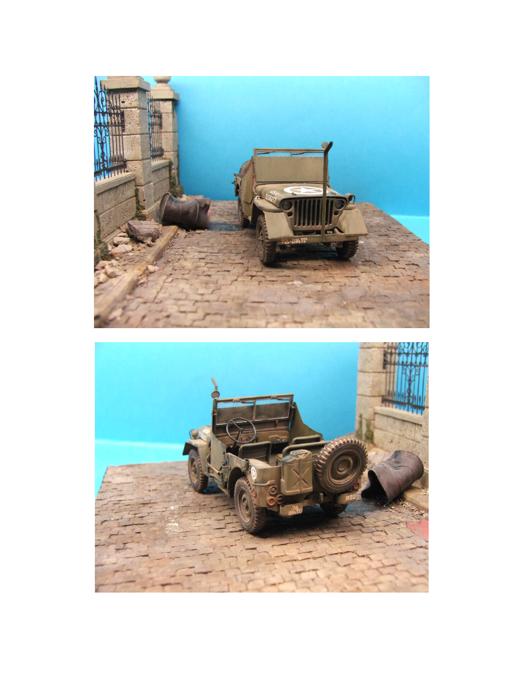